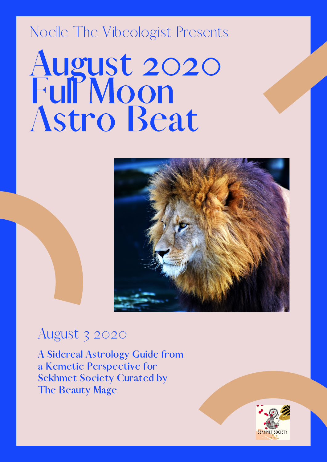## Noelle The Vibeologist Presents



## August 3 2020

August 3 2020<br>A Sidereal Astrology Guide from  $\frac{1}{2}$  A Sidereal Astrology Guide fi<br>a Kemetic Perspective for A Sidereal Astrology Guide fron<br>a Kemetic Perspective for<br>Sekhmet Society Curated by a Kemetic Perspecti<br>Sekhmet Society Cu<br>The Beauty Mage

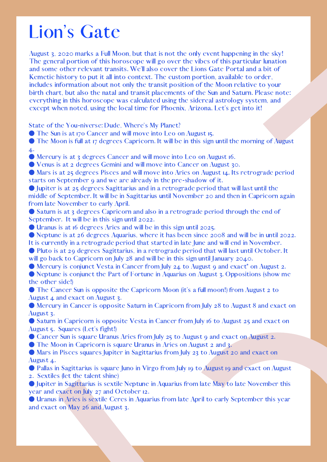## Lion's Gate

August 3, 2020 marks a Full Moon, but that is not the only event happening in the sky!<br>The general portion of this horoscope will go over the vibes of this particular lunatio<br>and some other relevant transits. We'll also co The general portion of this horoscope will go over the vibes of this particular lunation<br>and some other relevant transits. We'll also cover the Lions Gate Portal and a bit of<br>includes information about not only the transit and some other relevant transits. We'll also cover the Lions Gate Portal and a bit of some other relevant transits. We'll also cover the Lions Gate Portal and a bit of<br>edde history to put it all into context. The custom portion, available to order,<br>closis information about not only the transit position of t Kemetic history to put it all into context. The custom portion, available to order,<br>includes information about not only the transit position of the Moon relative to you-<br>birth chart, but also the natal and transit placemen includes information about not only the transit position of the Moon relative to your<br>birth chart, but also the natal and transit placements of the Sun and Saturn. Please ne<br>everything in this horoscope was calculated usin

- 
- 

birth chart, but also the natal and transit placements of the Sun and Saturn. Please note:<br>everything in this horoscope was calculated using the sidereal astrology system, and<br>everything in this horoscope was calculated of everything in this horoscope was calculated using the sidereal astrology system, and<br>except when noted, using the local time for Phoenix, Arizona. Let's get into it!<br>State of the You-niverse: Dude, Where's My Planet?<br>Of Th except when noted, using the local time for Phoenix, Arizona. Let's get into it!<br>
State of the You-niverse: Dude, Where's My Planet?<br>
The Sun is at 170 Cancer and will move into Leo on August 15.<br>
The Moon is full at 17 de State of the You-niverse: Dude, Where's My Planet?<br>
• The Sun is at 170 Cancer and will move into Leo of The Moon is full at 17 degrees Capricorn. It will be  $\bullet$ <br>
• Mercury is at 3 degrees Cancer and will move into  $\bullet$  • The Sun is at 170 Cancer and will move into Leo on August 15.<br>
• The Moon is full at 17 degrees Capricorn. It will be in this sign<br>
• Mercury is at 3 degrees Cancer and will move into Leo on Augustaris at 25 degrees Gem • The Moon is full at 17 degrees Capricorn. It will be in this sign until the morning of August 4.<br>
• Mercury is at 3 degrees Cancer and will move into Leo on August 16.<br>
• Venus is at 2 degrees Camin and will move into A **Algebra 19 m fr O St O O It O w O O th O Algebra 1** ● Mercury is at 3 degrees Cancer and will move into Leo on August 16.<br>
● Venus is at 23 degrees Gemini and will move into Cancer on August 3:<br>
● Mars is at 25 degrees Pisces and will move into Aries on August 14. It<br>
sta ● Venus is at 2 degrees Gemini and will move into Cancer on August 30.<br>
● Mars is at 25 degrees Pisces and will move into Aries on August 14. Its<br>
starts on September 9 and we are already in the pre-shadow of it.<br>
• Jupi ● Mars is at 25 degrees Pisces and will move into Aries on August 14. Its retrograde period<br>starts on September 9 and we are already in the pre-shadow of it.<br>
● Lupiter is at 25 degrees Sagittarius and in a retrograde pe starts on September 9 and we are already in the pre-shadow of it.<br>
• Jupiter is at 25 degrees Sagittarius and in a retrograde period th<br>
middle of September. It will be in Sagittarius until November 20 and<br>
from late Nove ● Jupiter is at 25 degrees Sagittarius and in a retrograde period that will last until the middle of September. It will be in Sagittarius until November 20 and then in Capricorn from late November to early April.<br>
● Satu

middle of September. It will be in Sagittarius until November 20 and then in Capricorn again<br>from late November to early April.<br>
• Saturn is at 3 degrees Capricorn and also in a retrograde period through the end of<br>Septem from late November to early April.<br>
• Saturn is at 3 degrees Capricorr<br>
September. It will be in this sign ur<br>
• Uranus is at 16 degrees Aries an<br>
• Neptune is at 26 degrees Aquari<br>
It is currently in a retrograde peric<br>
• ● Saturn is at 3 degrees Capricorn and also in a retrograde period through the end of<br>
September. It will be in this sign until 2022.<br>
● Uranus is at 16 degrees Aries and will be in this sign until 2025.<br>
● Neptune is a September. It will be in this sign until 2022.<br>
• Uranus is at 16 degrees Aries and will be<br>
• Neptune is at 26 degrees Aquarius, wher<br>
It is currently in a retrograde period that si<br>
• Pluto is at 29 degrees Sagittarius, ● Uranus is at 16 degrees Aries and will be in this sign until 2025.<br>
● Neptune is at 26 degrees Aquarius, where it has been since 20<br>
tis currently in a retrograde period that started in late June and<br>
● Pluto is at 29 ● Neptune is at 26 degrees Aquarius, where it has been since 2008 and will be in until 2022.<br>
It is currently in a retrograde period that started in late June and will end in November. It<br>
will go back to Capricorn on Jul It is currently in a retrograde period that started in late June and will end in November.<br>
• Pluto is at 29 degrees Sagittarius, in a retrograde period that will last until October.<br>
• Will go back to Capricoron on July 2

● Pluto is at 29 degrees Sagittarius, in a retrograde period that will last until October. It will go back to Capricorn on July 28 and will be in this sign until January 2040.<br>
● Mercury is conjunct Vesta in Cancer from will go back to Capricorn on July 28 and will be in this sign until January 2040.<br>
• Mercury is conjunct Vesta in Cancer from July 24 to August 9 and exact<sup>\*</sup> c<br>
• Neptune is conjunct the Part of Fortune in Aquarius on Au ● Mercury is conjunct Vesta in Cancer from July 24 to August 9 and exact\* on August 2.<br>
● Neptune is conjunct the Part of Fortune in Aquarius on August 3. Oppositions (show m<br>
→ The Cancer Sun is opposite the Capricorn M

● Neptune is conjunct the Part of Fortune in Aquarius on August 3. Oppositions (show me<br>
the other sidel)<br>
• The Cancer Sun is opposite the Capricorn Moon (it's a full moon!) from August 2 to<br>
August 4 and exact on Augus the other side!)<br>
• The Cancer<br>
August 4 and ey<br>
• Mercury in C<br>
August 3.<br>
• Saturn in Ca<sub>l</sub><br>
August 5. Squar<br>
• Cancer Sun i<br>
• The Moon in<br>
• Mars in Pisce<br>
August 4.<br>
• Pallas in Sagi<br>
2. Sextiles (let 1<br>
• Jupiter in ● The Cancer Sun is opposite the Capricorn Moon (it's a full moon!) from August 2 to August 4 and exact on August 3.<br>
August 4 and exact on August 5.<br>
● Mercury in Cancer is opposite Saturn in Capricorn from July 28 to Au August 4 and exact on August 3.<br>
• Mercury in Cancer is opposit<br>
August 3.<br>
• Saturn in Capricorn is opposit<br>
August 5. Squares (Let's fight!)<br>
• Cancer Sun is square Uranus .<br>
• The Moon in Capricorn is squ<br>
• Mars in Pi ● Mercury in Cancer is opposite Saturn in Capricorn from July 28 to August 8 and exact on August 3.<br>
August 3. Squares (Let's fight!)<br>
● Saturn in Capricorn is opposite Vesta in Cancer from July 16 to August 25 and exact August 3.<br>
● Saturr<br>August 5.<br>
● Cance<br>
● The Mars i<br>August 4<br>
● Pallas<br>
2. Sextik<br>
● Jupiter<br>
year and<br>
● Uranuand exac ● Saturn in Capricorn is opposite Vesta in Cancer from July 16 to August 25 and exact on August 3. Squares (Let's fight!)<br>August 5. Squares (Let's fight!)<br>● Cancer Sun is square Uranus Aries from July 25 to August 2 and 3 August 5. Squares (Let's fight!)<br>
• Cancer Sun is square Uranus<br>
• The Moon in Capricorn is sexed Mars in Pisces squares Jupit<br>
August 4.<br>
• Pallas in Sagittarius is square<br>
2. Sextiles (let the talent shine<br>
• Jupiter in • Cancer Sun is square Uranus Aries from July 25 to August 9 and exact on August 2.<br>
• The Moon in Capricorn is square Uranus in Aries on August 2 and 3.<br>
• Mars in Pisces squares Jupiter in Sagittarius from July 23 to Au ● The Moon in Capricorn is square Uranus in Aries on August 2 and 3.<br>● Mars in Pisces squares Jupiter in Sagittarius from July 23 to August 2<br>August 4.<br>● Pallas in Sagittarius is square Juno in Virgo from July 19 to Augus ● Mars in Pisces squares Jupiter in Sagittarius from July 23 to August 20 and exact on August 4.<br>
● Pallas in Sagittarius is square Juno in Virgo from July 19 to August 19 and exact on Au<br>
2. Sextiles (let the talent shi August 4.<br>
• Pallas i<br>
• Pallas i<br>
• Jupiter<br>
year and<br>
• Uranus<br>
and exact<br>
and exact ● Pallas in Sagittarius is square Juno in Virgo from July 19 to August 19 and exact on August 2. Sextiles (let the talent shine)<br>
● Jupiter in Sagittarius is sextile Neptune in Aquarius from late May to late November this 2. Sextiles (let the talent shine)<br>
• Jupiter in Sagittarius is sextily year and exact on July 27 and C<br>
• Uranus in Aries is sextile Cer and exact on May 26 and Augustand exact on May 26 and Augustand

• Jupiter in Sagittarius is sextile Neptune in Aquarius from late May to late November this year and exact on July 27 and October 12.<br>• Uranus in Aries is sextile Ceres in Aquarius from late April to early September this year and exact on July 27 and October 12.<br>
• Uranus in Aries is sextile Ceres in Aqua<br>
and exact on May 26 and August 3.<br>
• The May 26 and August 3. ● Uranus in Aries is sextile Ceres in Aquarius from late April to early September this year and exact on May 26 and August 3. and exact on May 26 and August 3.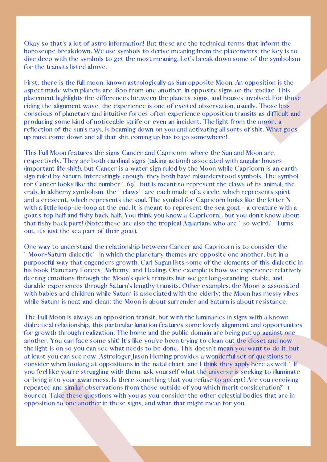Okay so that's a lot of astro information! But these are the technical terms that inform the horoscope breakdown. We use symbols to derive meaning from the placements: the key is dive dep with the symbols to get the most m horoscope breakdown. We use symbols to derive meaning from the placements; the key is to dive deep with the symbols to get the most meaning. Let's break down some of the symbolism for the transits listed above.<br>First, ther

dive deep with the symbols to get the most meaning. Let's break down some of the symbolism<br>for the transits listed above.<br>First, there is the full moon, known astrologically as Sun opposite Moon. An opposition is the<br>aspec for the transits listed above.<br>First, there is the full moon,<br>aspect made when planets are<br>placement highlights the differentially riding the alignment wave, the<br>conscious of planetary and it<br>producing some kind of notic<br>r First, there is the full moon, known astrologically as Sun opposite Moon. An opposition is the aspect mate when planets are isso from one another, in opposite isages in the zodiac. This placement highlights the differences aspect made when planets are 1800 from one another, in opposite signs on the zodiac. This placement highlights the differences between the planets, signs, and houses involved. For the planetary and intuitive forces of ten placement highlights the differences between the planets, signs, and houses involved. For these relayer indig the alignment wave, the experience is one of excited observation, usually. Those less<br>conscious of planetary and riding the alignment wave, the experience is one of excited observation, usually. Those less<br>consideous of planetary and intuitive forces offern experience opposition transits as difficult<br>producing some kind of noticeable conscious of planetary and intuitive forces often experience opposition transits as difficult and<br>producing some kind of noticeable striffe or even an incident. The light from the moon, a<br>creflection of the sum's rays, is producing some kind of noticeable strife or even an incident. The light from the moon, a<br>reflection of the sun's rays, is beaming down on you and activating alsorts of shit. What<br>up must come down and all that shit coming reflection of the sun's rays, is beaming down on you and activating all sorts of shit. What goes<br>up must come down and all that shit coming up has to go somewhere!<br>This Full Moon features the signs Cancer and Capricorn, wh up must come down and all that shit coming up has to go somewhere!<br>
This Full Moon features the signs Cancer and Capricorn, where the St<br>
respectively. They are both cardinal signs (taking action!) associated v<br>
(important This Full Moon features the signs Cancer and Capricorn, where the Sun and Moon are, respectively, They are both cardial signs (taking action) associated with angular house (important life shit), but Cancer is a water sign respectively. They are both cardinal signs (taking action!) associated with angular houses (important life shit!), but Cancer is a water sign ruled by staurn. Interestingly enough, they both have misunderstood symbols. The (important life shit!), but Cancer is a water sign ruled by the Moon while Capricorn is an carth<br>sign ruled by Saturn. Interestingly crough, they both have misualerstood symbols. The symbo<br>for Cancer looks like the number

sign ruled by Saturn. Interestingly enough, they both have misunderstood symbols. The symbol<br>or Cancer looks like the number ' og' but is meant to represent the claws of its ainial, the<br>crab. In alchemy symbolism, the ' cl for Cancer looks like the number ' 69" but is meant to represent the claws of its animal, the crab<br>and a crescent, which represents the 'claws' are ceah made of a circle, which represents spirit.<br>and a crescent, which repr crab. In alchemy symbolism, the "claws" are each made of a circle, which represents spirit,<br>and a crescent, which represents the soul. The symbol for Capirorn looks like the letter N<br>with a little loop-de-loop at the end. and a crescent, which represents the soul. The symbol for Capricorn looks like the letter N with a little loop-de-loop at the end, It is meant to represent the sea goat - a creature with a fishy back part! (Note: these are with a little loop-de-loop at the end. It is meant to represent the sea goat - a creature with a goat's top haf and fishy back haff. You think you know a Capricorn... but you don't know about that fishy back part! (Note: t goat's top half and fishy back half. You think you know a Capricorn... but you don't know about<br>that fishy back part (Note: these are also the tropical Aquarians who are 'so weird.' Turns<br>out, it's just the sea part of the One way to understand the relationship between Cancer and Capricorn is to consider the

that fishy back part! (Note: these are also the tropical Aquarians who are "so weird." Turns<br>out, it's just the sea part of their goat).<br>One way to understand the relationship between Cancer and Capricorn is to consider th out, it's just the sea part of their goat).<br>One way to understand the relationship<br>' Moon-Saturn dialectic' in which the p<br>purposeful way that engenders growth<br>his book Planetary Forces, Alchemy, an<br>fleeting emotions throu way to understand the relationship between Cancer and Capricorn is to consider the on-Satrın dialectic<sup>3</sup> in which the planetary themes are opposite one another. but in a so-costul way that engenders growth. Carl Sagan lis " Moon-Saturn dialectic" in which the planetary themes are opposite one another, but in a purposeful way that engenders growth. Carl Sagan lists sone of the elements of this dialecting emotions through the Moon's quick tra purposeful way that engenders growth. Carl Sagan lists some of the elements of this dialectic in his book Planetary Forces. Alcheny, and Healing. One example is how we experience relatively flecting emotions through the Mo his book Planetary Forces, Alchemy, and Healing. One example is how we experience relatively flecting emotions through the Moon's squasities but we get long-standing, stable, and<br>durable experiences through Saturn's length flecting emotions through the Moon's quick transits but we get long-standing, stable, and durable experiences through Saturn's lengthy transits. Other examples: the Moon is associated with babies and chidren while Saturn i durable experiences through Saturn's lengthy transits. Other examples: the Moon is associated while babies and children while Saturn is associated with the elderly: the Moon has messy vibes while Saturn is neat and clear. with babies and children while Saturn is associated with the elderly; the Moon has messy vibes<br>while Saturn is neat and clean; the Moon is about surrender and Saturn is about resistance.<br>The Full Moon is always an oppositi while Saturn is neat and clean; the Moon is about surrender and Saturn is about resistance.<br>The Full Moon is always an opposition transit, but with the luminaries in signs with a know<br>dialectical relationship, this particu The Full Moon is always an opposition transit, but with the luminaries in signs with a known dialectrical relationship, this particular lunation features some lovely alignment and opportuny align deciral relationship, this dialectical relationship, this particular lunation features some lovely alignment and opportunities for growth through realization. The home and the public domain are being put up against one and the public some and the ex for growth through realization. The home and the public domain are being put up against one<br>another. You can face some shit! It's like you've been trying to clean out the closet and now<br>the light is on so you can see what another. You can face some shit! It's like you've been trying to clean out the closet and now<br>the light is on so you can see what needs to be done. This doesn't mean you want to do it, but<br>at least you can see now. Astrolo the light is on so you can see what needs to be done. This doesn't mean you want to do it, but at least you can see now. Astrologer Jason Fleming provides a wonderful set of questions to heoristor when looking at oppositio at least you can see now. Astrologer Jason Fleming provides a wonderful set of questions to consider when looking at oppositions in the natal chart, and I think they apply here as well: "<br>you feel like you're struggling wi consider when looking at oppositions in the natal chart, and I think they apply here as well: "If<br>you feel like you're struggling with them, ask yourself what the universe is seeking to illuminat<br>or bring into your awarene you feel like you're struggling with them, ask yourself what the universe is seeking to illuminate or bring into your awareness. Is there something that you refuse to accept? Are you receiving repeated and similar observat or bring into your awareness. Is there something that you refuse to accept? Are you receiving<br>repeated and similar observations from those outside of you which merit consideration? (<br>Source). Take these questions with you repeated and similar observations from those outside of you which merit consideration?" (Source). Take these questions with you as you consider the other celestial bodies that are opposition to one another in these signs, Source). Take these questions with you as you consider the other celestial bodies that are in opposition to one another in these signs, and what that might mean for you. opposition to one another in these signs, and what that might mean for you.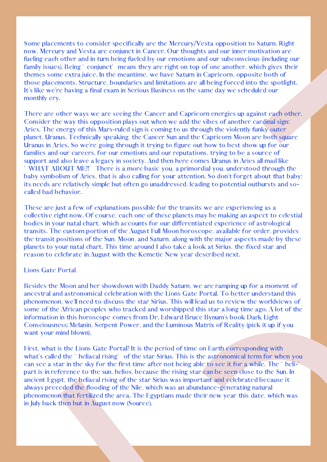Some placements to consider specifically are the Mercury/Vesta opposition to Saturn. Right

placements to consider specifically are the Mercury/Vesta opposition to Saturn. Right<br>dercury and Vesta are conjunct in Cancer. Our thoughts and our inner motivation are<br>cach other and in turn being fueled by our emotions now, Mercury and Vesta are conjunct in Cancer. Our thoughts and our inner motivation are fucling each other and in turn being fueled by our emotions and our subconscious (including each other after a feature of those place fueling each other and in turn being fueled by our emotions and our subconscious (including our<br>family issues). Being ' conjunct' means they are right on top of one another, which gives their<br>thence some extra juice. In th family issues). Being " conjunct" means they are right on top of one another, which gives their themes some extra juice. In the meantime, we have Saturn in Capircorn, opposite both of the state those placements. Structure, themes some extra juice. In the meantime, we have Saturn in Capricorn, opposite both of<br>these placements. Structure, boundaries and limitations are all being forced into the spoti<br>of the like we're having a final exam in S those placements. Structure, boundaries and limitations are all being forced into the spotlight.<br>The like we're having a final exam in Serious Business on the same day we scheduled our<br>monthly ery.<br>There are other ways we It's like we're having a final exam in Serious Business on the same day we scheduled our<br>monthly ery.<br>There are other ways we are seeing the Cancer and Capricorn energies up against eat<br>Consider the way this opposition pla monthly cry.<br>There are of<br>Consider the<br>Aries. The et<br>planet, Uranus in Ari<br>families and et<br>support and<br>'WHAT AB<br>baby symbol<br>its needs are<br>called bad be<br>These are ju<br>collective rig<br>bodies in you<br>transits. The<br>the transits. There are other ways we are seeing the Cancer and Capricorn energies up against cach other.<br>Consider the way this opposition plays out when we add the vibes of another eardinal sign.<br>Christen: The mental symple is coming t Consider the way this opposition plays out when we add the vibes of another cardinal sign<br>Aries. The energy of this Mars-ruled sign is coming to us through the violently funky outer<br>Diplanet. Uranus Technically speaking, t Aries. The energy of this Mars-ruled sign is coming to us through the violently funky outer<br>planet. Uranus Technically speaking, the Cancer Sun and the Capitoorn Moon are both squ<br>Ulranus in Aries. So we're going through i planet, Uranus. Technically speaking, the Cancer Sun and the Capricorn Moon are both spaar<br>Uranus in Aries. So we're going through it trying to figure out how to best show up for our<br>families and our carcers, for our emoti

Uranus in Aries. So we're going through it trying to figure out how to best show up for our support and our careers, for our emotions and our reputations, trying to be a source of<br>support and also leave a legacy in society families and our careers, for our emotions and our reputations, trying to be a source of<br>support and also leave a legacy in society. And then here comes Uranus in Aries all mad i<br>in WHAT ABOUT ME? There is a more basic you support and also leave a legacy in society. And then here comes Uranus in Aries all mad like<br>
"WHAT ABOUT ME?" Tree is a more basic you, a primordial you, understood through that best yous symbolism of Aries, that is also " WHAT ABOUT ME?!" There is a more basic you, a primordial you, understood through the bably symbolism of Aries, that is also calling for your attention. So don't forget about that bably symbolism of Aries, that is also ca baby symbolism of Aries, that is also calling for your attention. So don't forget about that baby;<br>its needs are relatively simple but often go unaddressed, leading to potential outbursts and so-<br>called bad behavior.<br>These its needs are relatively simple but often go unaddressed, leading to potential outbursts and so-<br>called bad behavior.<br>These are just a few of explanations possible for the transits we are experiencing as a<br>collective right called bad behavior.<br>These are just a fev<br>collective right now<br>bodies in your natal<br>transits. The custon<br>the transit positions<br>planets to your nata<br>reason to celebrate<br>Lions Gate Portal<br>Besides the Moon a<br>ancestral and ast

These are just a few of explanations possible for the transits we are experiencing as a collective right now. Of course, each one of these planets may be making an aspect to transits. The custom portion of the August Full collective right now. Of course, each one of these planets may be making an aspect to celestial<br>bodies in your natal chart, which accounts for our differentiated experience of astrological<br>transits. The custom portion of t bodies in your natal chart, which accounts for our differentiated experience of astrological<br>transits. The custom portion of the August Full Moon horoscope, available for order, provide<br>the transit positions of the Sun, Mo transits. The custom portion of the August Full Moon horoscope, available for order, provides<br>the transit positions of the Sun, Moon, and Saturn, along with the major aspects made by these<br>planets to your natal chart. This the transit positions of the Sun, Moon, and Saturn, along with the major aspects made by these planets to your natal chart. This time around I also take a look at Sirius, the fixed star and planets to year reason to eclebr

planets to your natal chart. This time around I also take a look at Sirius, the fixed star and<br>reason to celebrate in August with the Kemetic New year described next.<br>Lions Gate Portal<br>Besides the Moon and her showdown wit reason to celebrate in August with the Kemetic New year described next.<br>Lions Gate Portal<br>Besides the Moon and her showdown with Daddy Saturn, we are ramping<br>ancestral and astronomical celebration with the Lions Gate Porta Lions Gate Portal<br>Besides the Moon<br>ancestral and astr<br>phenomenon, we'l<br>some of the Afric<br>information in this<br>Consciousness: Me<br>want your mind bl<br>First, what is the<br>what's called the '<br>can see a star in t<br>part is in referen Besides the Moon and her showdown with Daddy Saturn, we are ramping up for a moment of ancestral and astronomical eclebration with the Lions Gate Portal, To better understand this promorenon, we'll need to discuss the star ancestral and astronomical celebration with the Lions Gate Portal. To better understand this phenomenon, we'll need to discuss the star Sirius. This will lead us to review the worldiviews come of the African peoples who tr phenomenon, we'll need to discuss the star Sirius. This will lead us to review the worldviews of<br>some of the African peoples who tracked and worshipped this star a long time ago. A lot of the<br>information in this horoscope some of the African peoples who tracked and worshipped this star a long time ago. A lot of the information in this horoscope comes from Dr. Edward Bruee Bynum's book Dark Light Consciousness: Melanin, Sepent Power, and the information in this horoscope comes from Dr. Edward Bruce Bynum's book Dark Light<br>Consciousness: Melanin, Serpent Power, and the Luminous Matrix of Reality (pick it up i<br>vant your mind blown).<br>First, what is the Lions Gate Consciousness: Melanin, Serpent Power, and the Luminous Matrix of Reality (pick it up if you want your mind blown).<br>
First, what is the Lions Gate Portal? It is the period of time on Farth corresponding with what's called want your mind blown).<br>First, what is the Lions<br>what's called the ' helia<br>can see a star in the sk<br>part is in reference to <sup>1</sup><br>ancient Egypt, the helia<br>always preceded the fle<br>phenomenon that fertil<br>in July back then but i First, what is the Lions Gate Portal? It is the period of time on Earth corresponding with what's called the ' heliacal rising' of the star Sirius. This is the astronomical term for wh can see a star in the sky for the fir what's called the "heliacal rising" of the star Sirius. This is the astronomical term for when you can see a star in the sky for the first time after not being able to see it for a while. The "heli--part is in reference to can see a star in the sky for the first time after not being able to see it for a while. The 'helisee a star in the sky for the first time after not being able to see it for a while. The "heli--<br>is in reference to the sun, helios, because the rising star can be seen close to the Sun. In<br>ent Egypt, the heliacal rising o part is in reference to the sun, helios, because the rising star can be seen close to the Sun. In ancient Egypt, the heliacal rising of the star Sirius was important and eclebrated because it always preceded the flooding o ancient Egypt, the heliacal rising of the star Sirius was important and celebrated because it<br>always preceded the flooding of the Nile, which was an abundance-generating natural<br>phenomenon that fertilized the area. The Egy always preceded the flooding of the Nile, which was an abundance-generating natural<br>phenomenon that fertilized the area. The Egyptians made their new year this date, w<br>in July back then but in August now (Source). phenomenon that fertilized the area. The Egyptians made their new year this date, which was<br>in July back then but in August now (Source). in July back then but in August now (Source).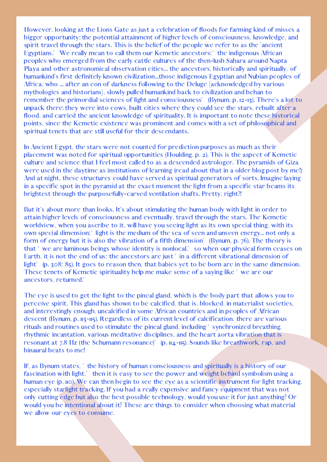However, looking at the Lions Gate as just a celebration of floods for farming kind of misses a<br>bigger opportunity: the potential at aiament of higher levels of consciousness, knowledge, and<br>spirit travel through the stars bigger opportunity: the potential attainment of higher levels of consciousness, knowledge, and spirit travel through the stars. This is the belief of the people we refer to as the 'ancient Exportisms'. We really mean to ca spirit travel through the stars. This is the belief of the people we refer to as the 'ancient<br>Egyptians.' We really mean to call them our Kemette ancestors: 'the indigenous African<br>Epeoples who emerged from the carly cattl Egyptians." We really mean to call them our Kemetic ancestors:" the indigenous African peoples who emerged from the early cattle cultures of the them-lush Sahara around Napi Playa and other astronomical observation cities. peoples who emerged from the early cattle cultures of the then-lush Sahara around Napta<br>Playa and other astronomical observation cities... the ancestors, historically and spiritually,<br>phumankind's first definitely known ci Playa and other astronomical observation cities... the ancestors, historically and spiritually, of<br>humanikind's first definitely known civilization...those indgenous Egyptian and Nubian peoples<br>comythologies and historians humankind's first definitely known civilization...those indigenous Egyptian and Nubian peoples of<br>Africa, who ... after an eon of darkness following to the Deluge [acknowledged by various]<br>mythologies and historians], slow

Africa, who ... after an eon of darkness following to the Deluge [acknowledged by various<br>mythologies and historians]. Solwy pulled humankind back to civilization and behan to<br>member the primordial sciences of light and co mythologies and historians], slowly pulled humankind back to civilization and behan to<br>remember the primoridal sciences of light and consicusors' (Bynum, p. 12-13). There<br>unpack there: they were into cows, built cities whe remember the primordial sciences of light and consciousness' (Bynum, p. 12-13). There's a lot to umpack there: they were into cows, built cities where they could see the stars, rebuilt after a<br>flood, and carried the ancien in a specific spot in the pyramid at the exact moment the light from a specific star beams its

unpack there: they were into cows, built cities where they could see the stars, rebuilt after a flood, and carried the ancient knowledge of spirituality. It is important to note these historical populats, since the Kemetic flood, and carried the ancient knowledge of spirituality. It is important to note these historical<br>points, since the Kemteic existence was prominent and comes with a set of philosophical and<br>spiritual tenets that are still points, since the Kemetic existence was prominent and comes with a set of philosophical and<br>spiritual tenets that are still useful for their descendants.<br>In Ancient Egypt, the stars were not counted for prediction purposes spiritual tenets that are still useful for their descendants.<br>In Ancient Egypt, the stars were not counted for predict<br>placement was noted for spiritual opportunities (Houldin<br>culture and science that I feel most called to In Ancient Egypt, the stars were not counted for prediction purposes as much as their<br>placement was noted for spiritual opportunities (Houlding, p. 2). This is the aspect of K political<br>culture and science that I feel most placement was noted for spiritual opportunities (Houlding, p. 2). This is the aspect of Kemetic culture and science that I feel most called to as a descended astrologer. The pyramids of Gizand at night, these structures co culture and science that I feel most called to as a descended astrologer. The pyramids of Giza<br>were used in the daytime as institutions of learning (read about that in a older bolg post by me<br>and at night, these structures were used in the daytime as institutions of learning (read about that in a older blog post by me!)<br>And at night, these stuctures could have served as spiritual generators of sorts. Imagine laying<br>In a specific spot in the And at night, these structures could have served as spiritual generators of sorts. Imagine laying<br>In a specific spot in the pyramid at the exact moment the light from a specific star beams its<br>brightest through the purpose specific spot in the pyramid at the exact moment the light from a specific star beams its<br>thest through the purposefully-carved ventilation shafts. Pretty, right?<br>it's about more than looks. It's about stimulating the huma brightest through the purposefully-carved ventilation shafts. Pretty, right?!<br>But it's about more than looks. It's about stimulating the human body with lattain higher levels of consciousness and eventually, travel through But it's about more than looks. It's about stimulating the human body with light in order to actually, the exert stimulation higher levels of consciusuess and eventually, travel through the stars. The Kennetic over on spec attain higher levels of consciousness and eventually, travel through the stars. The Kemetic wordwiew, when you acrelo to it, will have you seeig light as its own special thing, with inversion of a fifth dimension' (Bynum,

worldview, when you ascribe to it, will have you seeing light as its own special thing, with its own special dimension' light is the medium of the sea of seen and unseen energy... not only for the sea of seen and unseen en own special dimension: "light is the medium of the sea of seen and unseen energy... not only a<br>form of energy but it is also the vibration of a fifth dimension' (Bynum, p., 76). The theory is<br>funt if we are luminous beings form of energy but it is also the vibration of a fifth dimension" (Bynum, p. 76). The theory is that" we are luminous beings whose identity is nonlocal." so when our physical form ceases the fight "the and of us: the ances that " we are luminous beings whose identity is nonlocal," so when our physical form ceases on Earth, it is not the end of us; the ancestors are just " in a different vibrational dimension of light" (p. 308). It goes to re Earth, it is not the end of us; the ancestors are just "in a different vibrational dimension of<br>light" (p, 508: 85). It goes to reason then, that babies yet to be born are in the same dimension<br>These tenets of Kemetic spir light" (p. 308; 85). It goes to reason then, that babies yet to be born are in the same dimension.<br>These tentes of Kemetic spirituality help me make sense of a saying like" we are our<br>ancestors, returned.<br>The cyc is used t These tenets of Kemetic spirituality help me make sense of a saying like "we are our<br>ancestors, returned."<br>The cyc is used to get the light to the pineal gland, which is the body part that allows<br>perceive spirit. This gla ancestors, returned.'<br>The eye is used to ge<br>perceive spirit. This<br>and interestingly eno<br>descent (Bynum, p. 117<br>rituals and routines u<br>rhythmic incantation<br>resonant at 7.8 Hz (th<br>binaural beats to me!<br>If, as Bynum states, ' The eye is used to get the light to the pineal gland, which is the body part that allows you to perceive spirit. This gland has shown to be calcified, that is, blocked, in materialist societies, and in peoples of African

perceive spirit. This gland has shown to be calcified, that is, blocked, in materialist societies, and discrettingly enough, uncalcified in some African countries and in peoples of African controlling descent (Bynum, p. 13 and interestingly enough, uncalcified in some African countries and in peoples of African<br>descent (Bynum, p. 113-115). Regardless of its current level of calcification, there are various<br>distant initials and routines used descent (Bynum, p. 113-115). Regardless of its current level of calcification, there are various<br>rituals and routines used to stimulate the pineal gland, including 's synchronized breathing.<br>Thy thrincine incantation, vari rituals and routines used to stimulate the pineal gland, including "synchronized breathing,<br>rhythmic incantation, various meditative disciplines, and the heart aorta vibration that is<br>resonant at 7.8 Hz (the Schumann reson rhythmic incantation, various meditative disciplines, and the heart aorta vibration that is<br>resonant at 7.8 Hz (the Schumann resonance)<sup>7</sup> (p. 114-115). Sounds like breathwork, rap, an<br>binaural beats to me!<br>If, as Bynum st resonant at 7.8 Hz (the Schumann resonance)" (p. 114-115). Sounds like breathwork, rap, and<br>binaural beats to me!<br>If, as Bynum states, " the history of human consciousness and spiritually is a history of our<br>fascination wi binaural beats to me!<br>If, as Bynum states, '<br>fascination with light,<br>human eye (p. 110). We<br>especially starlight tr:<br>only cutting edge but<br>would you be intentic<br>we allow our eyes to If, as Bynum states, 'the history of human consciousness and spiritually is a history of our<br>fascination with light,' then it is easy to see the power and weight behind symbolism using<br>human eye (p. 110). We can then begi fascination with light,' then it is easy to see the power and weight behind symbolism using a human eye (p. 110). We can then begin to see the eye as a scientific instrument for light tracking expecially starlight tracking human eye (p. 110). We can then begin to see the eye as a scientific instrument for light tracking, especially starlight tracking. If you had a really expensive and fancy equipment that was not only cutting edge but also t especially starlight tracking. If you had a really expensive and fancy equipment that was not<br>only cutting edge but also the best possible technology, would you use it for just anything?<br>would you be intentional about it? only cutting edge but also the best possible technology, would you use it for just anything? Or<br>would you be intentional about it? These are things to consider when choosing what material<br>we allow our eyes to consume. would you be intentional about it? These are things to consider when choosing what material we allow our eyes to consume. we allow our eyes to consume.